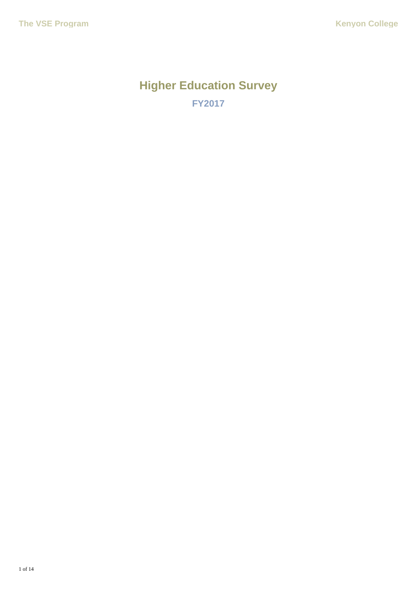# **Higher Education Survey FY2017**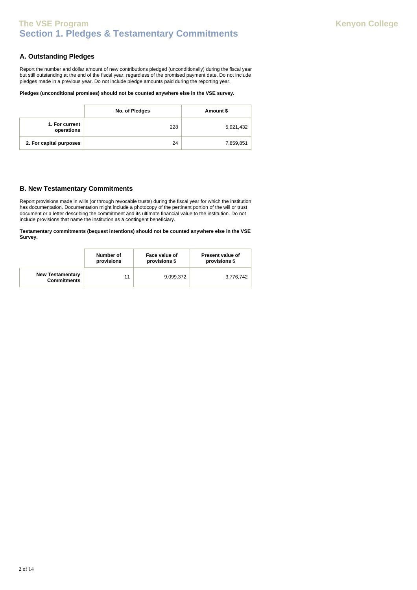# **Section 1. Pledges & Testamentary Commitments The VSE Program Kenyon College**

### **A. Outstanding Pledges**

Report the number and dollar amount of new contributions pledged (unconditionally) during the fiscal year but still outstanding at the end of the fiscal year, regardless of the promised payment date. Do not include pledges made in a previous year. Do not include pledge amounts paid during the reporting year.

### **Pledges (unconditional promises) should not be counted anywhere else in the VSE survey.**

|                              | No. of Pledges | Amount \$ |
|------------------------------|----------------|-----------|
| 1. For current<br>operations | 228            | 5,921,432 |
| 2. For capital purposes      | 24             | 7,859,851 |

### **B. New Testamentary Commitments**

Report provisions made in wills (or through revocable trusts) during the fiscal year for which the institution has documentation. Documentation might include a photocopy of the pertinent portion of the will or trust document or a letter describing the commitment and its ultimate financial value to the institution. Do not include provisions that name the institution as a contingent beneficiary.

**Testamentary commitments (bequest intentions) should not be counted anywhere else in the VSE Survey.**

|                                               | Number of  | Face value of | <b>Present value of</b> |
|-----------------------------------------------|------------|---------------|-------------------------|
|                                               | provisions | provisions \$ | provisions \$           |
| <b>New Testamentary</b><br><b>Commitments</b> | 11         | 9,099,372     | 3,776,742               |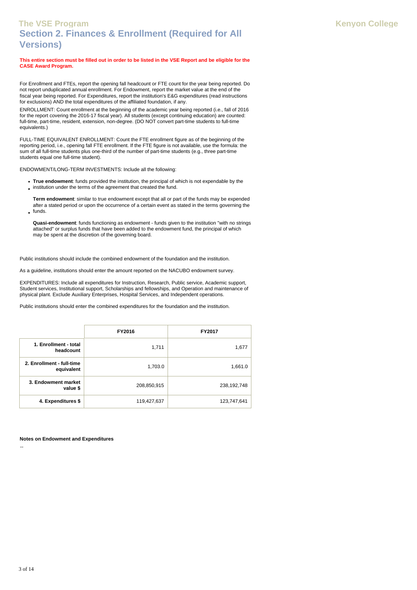# **Section 2. Finances & Enrollment (Required for All Versions) The VSE Program Kenyon College**

#### **This entire section must be filled out in order to be listed in the VSE Report and be eligible for the CASE Award Program.**

For Enrollment and FTEs, report the opening fall headcount or FTE count for the year being reported. Do not report unduplicated annual enrollment. For Endowment, report the market value at the end of the fiscal year being reported. For Expenditures, report the institution's E&G expenditures (read instructions for exclusions) AND the total expenditures of the affiliated foundation, if any.

ENROLLMENT: Count enrollment at the beginning of the academic year being reported (i.e., fall of 2016 for the report covering the 2016-17 fiscal year). All students (except continuing education) are counted: full-time, part-time, resident, extension, non-degree. (DO NOT convert part-time students to full-time equivalents.)

FULL-TIME EQUIVALENT ENROLLMENT: Count the FTE enrollment figure as of the beginning of the reporting period, i.e., opening fall FTE enrollment. If the FTE figure is not available, use the formula: the sum of all full-time students plus one-third of the number of part-time students (e.g., three part-time students equal one full-time student).

ENDOWMENT/LONG-TERM INVESTMENTS: Include all the following:

- **True endowment**: funds provided the institution, the principal of which is not expendable by the
- institution under the terms of the agreement that created the fund.

**Term endowment**: similar to true endowment except that all or part of the funds may be expended after a stated period or upon the occurrence of a certain event as stated in the terms governing the  $int$  funds.

**Quasi-endowment**: funds functioning as endowment - funds given to the institution "with no strings attached" or surplus funds that have been added to the endowment fund, the principal of which may be spent at the discretion of the governing board.

Public institutions should include the combined endowment of the foundation and the institution.

As a guideline, institutions should enter the amount reported on the NACUBO endowment survey.

EXPENDITURES: Include all expenditures for Instruction, Research, Public service, Academic support, Student services, Institutional support, Scholarships and fellowships, and Operation and maintenance of physical plant. Exclude Auxiliary Enterprises, Hospital Services, and Independent operations.

Public institutions should enter the combined expenditures for the foundation and the institution.

|                                         | FY2016      | <b>FY2017</b> |
|-----------------------------------------|-------------|---------------|
| 1. Enrollment - total<br>headcount      | 1,711       | 1,677         |
| 2. Enrollment - full-time<br>equivalent | 1,703.0     | 1,661.0       |
| 3. Endowment market<br>value \$         | 208,850,915 | 238,192,748   |
| 4. Expenditures \$                      | 119,427,637 | 123,747,641   |

**Notes on Endowment and Expenditures**

--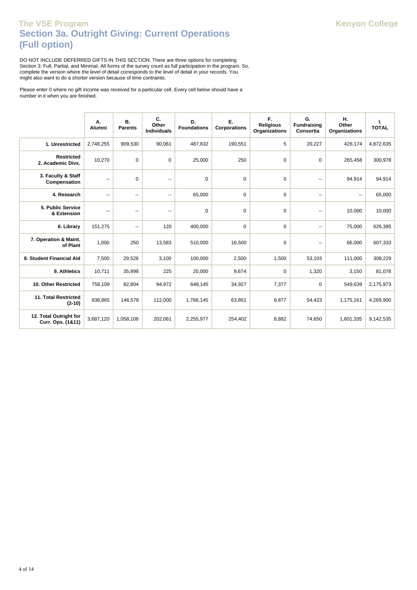# **Section 3a. Outright Giving: Current Operations (Full option) The VSE Program Kenyon College**

DO NOT INCLUDE DEFERRED GIFTS IN THIS SECTION. There are three options for completing Section 3: Full, Partial, and Minimal. All forms of the survey count as full participation in the program. So, complete the version where the level of detail corresponds to the level of detail in your records. You might also want to do a shorter version because of time contraints.

Please enter 0 where no gift income was received for a particular cell. Every cell below should have a number in it when you are finished.

|                                             | А.<br>Alumni             | В.<br><b>Parents</b>     | C.<br>Other<br><b>Individuals</b> | D.<br><b>Foundations</b> | Е.<br>Corporations | F.<br><b>Religious</b><br><b>Organizations</b> | G.<br><b>Fundraising</b><br>Consortia | н.<br>Other<br>Organizations | ı.<br><b>TOTAL</b> |
|---------------------------------------------|--------------------------|--------------------------|-----------------------------------|--------------------------|--------------------|------------------------------------------------|---------------------------------------|------------------------------|--------------------|
| 1. Unrestricted                             | 2,748,255                | 909,530                  | 90,061                            | 487,832                  | 190,551            | 5                                              | 20,227                                | 426,174                      | 4,872,635          |
| <b>Restricted</b><br>2. Academic Divs.      | 10,270                   | 0                        | 0                                 | 25,000                   | 250                | $\mathbf 0$                                    | 0                                     | 265,458                      | 300,978            |
| 3. Faculty & Staff<br>Compensation          | $\overline{\phantom{a}}$ | $\Omega$                 | --                                | $\mathbf 0$              | $\Omega$           | $\Omega$                                       | --                                    | 94,914                       | 94,914             |
| 4. Research                                 | --                       | --                       | --                                | 65,000                   | 0                  | $\mathbf 0$                                    | --                                    | $\overline{\phantom{a}}$     | 65,000             |
| 5. Public Service<br>& Extension            | $\overline{\phantom{a}}$ | --                       | --                                | 0                        | 0                  | 0                                              | --                                    | 10,000                       | 10,000             |
| 6. Library                                  | 151,275                  | $\overline{\phantom{a}}$ | 120                               | 400,000                  | 0                  | 0                                              | --                                    | 75,000                       | 626,395            |
| 7. Operation & Maint.<br>of Plant           | 1,000                    | 250                      | 13,583                            | 510,000                  | 16,500             | 0                                              | --                                    | 66,000                       | 607,333            |
| 8. Student Financial Aid                    | 7,500                    | 29,526                   | 3,100                             | 100,000                  | 2,500              | 1,500                                          | 53,103                                | 111,000                      | 308,229            |
| 9. Athletics                                | 10,711                   | 35,998                   | 225                               | 20,000                   | 9,674              | $\mathbf 0$                                    | 1,320                                 | 3,150                        | 81,078             |
| 10. Other Restricted                        | 758,109                  | 82,804                   | 94,972                            | 648,145                  | 34,927             | 7,377                                          | 0                                     | 549,639                      | 2,175,973          |
| <b>11. Total Restricted</b><br>$(2-10)$     | 938,865                  | 148,578                  | 112,000                           | 1,768,145                | 63,851             | 8,877                                          | 54,423                                | 1,175,161                    | 4,269,900          |
| 12. Total Outright for<br>Curr. Ops. (1&11) | 3,687,120                | 1,058,108                | 202,061                           | 2,255,977                | 254,402            | 8,882                                          | 74,650                                | 1,601,335                    | 9,142,535          |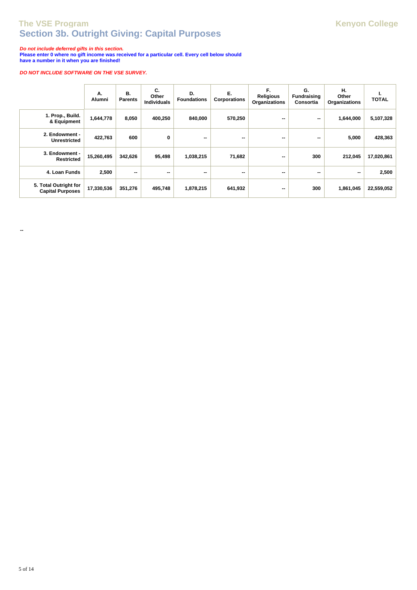# **Section 3b. Outright Giving: Capital Purposes The VSE Program College College Kenyon College**

**Do not include deferred gifts in this section.** 

**Please enter 0 where no gift income was received for a particular cell. Every cell below should have a number in it when you are finished!**

### **DO NOT INCLUDE SOFTWARE ON THE VSE SURVEY.**

|                                                  | А.<br>Alumni | В.<br><b>Parents</b> | C.<br>Other<br><b>Individuals</b> | D.<br><b>Foundations</b> | Е.<br><b>Corporations</b> | F.<br><b>Religious</b><br>Organizations | G.<br><b>Fundraising</b><br>Consortia | н.<br>Other<br>Organizations | ٠.<br><b>TOTAL</b> |
|--------------------------------------------------|--------------|----------------------|-----------------------------------|--------------------------|---------------------------|-----------------------------------------|---------------------------------------|------------------------------|--------------------|
| 1. Prop., Build.<br>& Equipment                  | 1,644,778    | 8,050                | 400,250                           | 840,000                  | 570,250                   | --                                      | $\sim$                                | 1,644,000                    | 5,107,328          |
| 2. Endowment -<br><b>Unrestricted</b>            | 422,763      | 600                  | 0                                 | --                       | --                        | --                                      | --                                    | 5,000                        | 428,363            |
| 3. Endowment -<br><b>Restricted</b>              | 15,260,495   | 342,626              | 95,498                            | 1,038,215                | 71,682                    | --                                      | 300                                   | 212,045                      | 17,020,861         |
| 4. Loan Funds                                    | 2,500        | --                   | --                                | --                       | --                        | --                                      | --                                    | $\overline{\phantom{a}}$     | 2,500              |
| 5. Total Outright for<br><b>Capital Purposes</b> | 17,330,536   | 351,276              | 495,748                           | 1,878,215                | 641,932                   | --                                      | 300                                   | 1,861,045                    | 22,559,052         |

**--**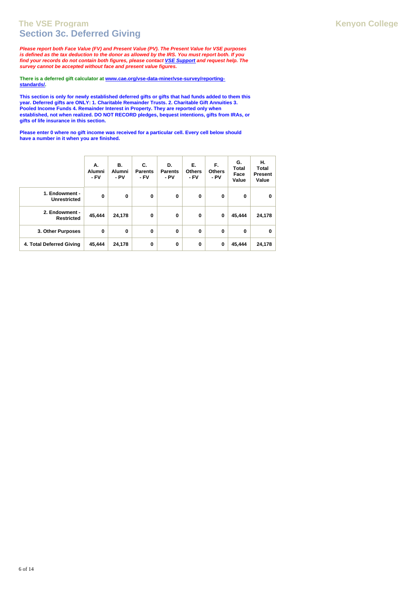### **Section 3c. Deferred Giving The VSE Program Kenyon College**

**Please report both Face Value (FV) and Present Value (PV). The Present Value for VSE purposes is defined as the tax deduction to the donor as allowed by the IRS. You must report both. If you find your records do not contain both figures, please contact VSE Support and request help. The survey cannot be accepted without face and present value figures.**

**There is a deferred gift calculator at www.cae.org/vse-data-miner/vse-survey/reportingstandards/.**

**This section is only for newly established deferred gifts or gifts that had funds added to them this year. Deferred gifts are ONLY: 1. Charitable Remainder Trusts. 2. Charitable Gift Annuities 3. Pooled Income Funds 4. Remainder Interest in Property. They are reported only when established, not when realized. DO NOT RECORD pledges, bequest intentions, gifts from IRAs, or gifts of life insurance in this section.**

**Please enter 0 where no gift income was received for a particular cell. Every cell below should have a number in it when you are finished.**

|                                       | А.<br>Alumni<br>- FV | В.<br>Alumni<br>- PV | C.<br><b>Parents</b><br>- FV | D.<br><b>Parents</b><br>$-PV$ | Е.<br><b>Others</b><br>- FV | F.<br><b>Others</b><br>- PV | G.<br><b>Total</b><br>Face<br>Value | н.<br><b>Total</b><br><b>Present</b><br>Value |
|---------------------------------------|----------------------|----------------------|------------------------------|-------------------------------|-----------------------------|-----------------------------|-------------------------------------|-----------------------------------------------|
| 1. Endowment -<br><b>Unrestricted</b> | $\mathbf 0$          | $\mathbf 0$          | 0                            | 0                             | $\mathbf 0$                 | 0                           | 0                                   | 0                                             |
| 2. Endowment -<br><b>Restricted</b>   | 45,444               | 24,178               | 0                            | 0                             | 0                           | 0                           | 45,444                              | 24,178                                        |
| 3. Other Purposes                     | 0                    | 0                    | 0                            | $\bf{0}$                      | $\mathbf 0$                 | $\bf{0}$                    | 0                                   | 0                                             |
| 4. Total Deferred Giving              | 45,444               | 24,178               | 0                            | 0                             | 0                           | 0                           | 45,444                              | 24,178                                        |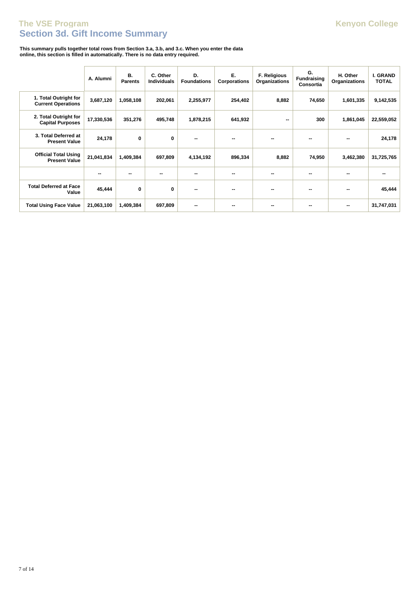### **Section 3d. Gift Income Summary The VSE Program Kenyon College**

**This summary pulls together total rows from Section 3.a, 3.b, and 3.c. When you enter the data online, this section is filled in automatically. There is no data entry required.**

|                                                     | A. Alumni  | В.<br><b>Parents</b> | C. Other<br><b>Individuals</b> | D.<br><b>Foundations</b> | Е.<br>Corporations | F. Religious<br>Organizations | G.<br><b>Fundraising</b><br>Consortia | H. Other<br>Organizations | I. GRAND<br><b>TOTAL</b> |
|-----------------------------------------------------|------------|----------------------|--------------------------------|--------------------------|--------------------|-------------------------------|---------------------------------------|---------------------------|--------------------------|
| 1. Total Outright for<br><b>Current Operations</b>  | 3,687,120  | 1,058,108            | 202,061                        | 2,255,977                | 254,402            | 8,882                         | 74,650                                | 1,601,335                 | 9,142,535                |
| 2. Total Outright for<br><b>Capital Purposes</b>    | 17,330,536 | 351,276              | 495,748                        | 1,878,215                | 641,932            | --                            | 300                                   | 1,861,045                 | 22,559,052               |
| 3. Total Deferred at<br><b>Present Value</b>        | 24,178     | 0                    | 0                              | --                       |                    |                               | --                                    | --                        | 24,178                   |
| <b>Official Total Using</b><br><b>Present Value</b> | 21,041,834 | 1,409,384            | 697,809                        | 4,134,192                | 896,334            | 8,882                         | 74,950                                | 3,462,380                 | 31,725,765               |
|                                                     | --         | --                   |                                | --                       | --                 |                               | --                                    | --                        |                          |
| <b>Total Deferred at Face</b><br>Value              | 45,444     | 0                    | 0                              | --                       | --                 |                               | --                                    | --                        | 45,444                   |
| <b>Total Using Face Value</b>                       | 21,063,100 | 1,409,384            | 697,809                        | --                       |                    |                               |                                       | --                        | 31,747,031               |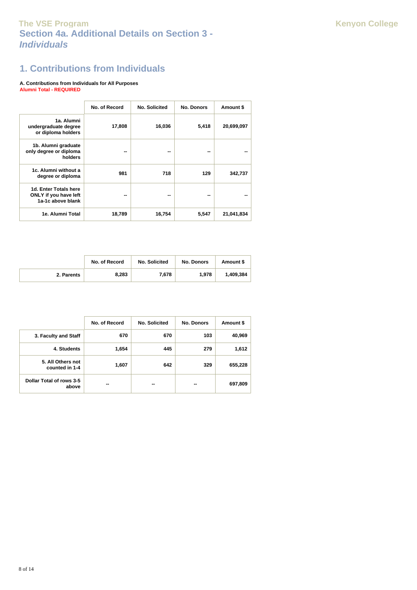# **Section 4a. Additional Details on Section 3 - Individuals The VSE Program Kenyon College**

# **1. Contributions from Individuals**

#### **A. Contributions from Individuals for All Purposes Alumni Total - REQUIRED**

|                                                                            | No. of Record | No. Solicited | <b>No. Donors</b> | Amount \$  |
|----------------------------------------------------------------------------|---------------|---------------|-------------------|------------|
| 1a. Alumni<br>undergraduate degree<br>or diploma holders                   | 17,808        | 16,036        | 5,418             | 20,699,097 |
| 1b. Alumni graduate<br>only degree or diploma<br>holders                   | --            | --            | --                |            |
| 1c. Alumni without a<br>degree or diploma                                  | 981           | 718           | 129               | 342,737    |
| 1d. Enter Totals here<br><b>ONLY</b> if you have left<br>1a-1c above blank | --            | --            | --                |            |
| 1e. Alumni Total                                                           | 18,789        | 16,754        | 5,547             | 21,041,834 |

|            | No. of Record | No. Solicited | <b>No. Donors</b> | Amount \$ |
|------------|---------------|---------------|-------------------|-----------|
| 2. Parents | 8.283         | 7.678         | 1.978             | 1.409.384 |

|                                     | No. of Record | No. Solicited | <b>No. Donors</b> | Amount \$ |
|-------------------------------------|---------------|---------------|-------------------|-----------|
| 3. Faculty and Staff                | 670           | 670           | 103               | 40,969    |
| 4. Students                         | 1,654         | 445           | 279               | 1,612     |
| 5. All Others not<br>counted in 1-4 | 1,607         | 642           | 329               | 655,228   |
| Dollar Total of rows 3-5<br>above   | --            | --            | --                | 697,809   |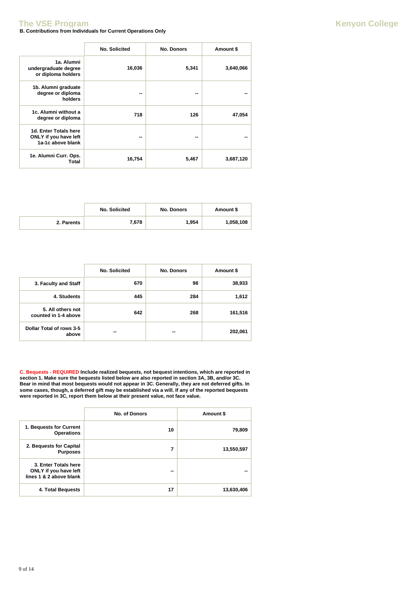### **B. Contributions from Individuals for Current Operations Only The VSE Program Kenyon College**

|                                                                            | No. Solicited | <b>No. Donors</b> | Amount \$ |
|----------------------------------------------------------------------------|---------------|-------------------|-----------|
| 1a. Alumni<br>undergraduate degree<br>or diploma holders                   | 16,036        | 5,341             | 3,640,066 |
| 1b. Alumni graduate<br>degree or diploma<br>holders                        | --            |                   |           |
| 1c. Alumni without a<br>degree or diploma                                  | 718           | 126               | 47,054    |
| 1d. Enter Totals here<br><b>ONLY</b> if you have left<br>1a-1c above blank | --            | --                |           |
| 1e. Alumni Curr. Ops.<br>Total                                             | 16,754        | 5,467             | 3,687,120 |

|            | <b>No. Solicited</b> | <b>No. Donors</b> | Amount \$ |
|------------|----------------------|-------------------|-----------|
| 2. Parents | 7,678                | 1,954             | 1,058,108 |

|                                           | <b>No. Solicited</b> | <b>No. Donors</b> | Amount \$ |
|-------------------------------------------|----------------------|-------------------|-----------|
| 3. Faculty and Staff                      | 670                  | 98                | 38,933    |
| 4. Students                               | 445                  | 284               | 1,612     |
| 5. All others not<br>counted in 1-4 above | 642                  | 268               | 161,516   |
| Dollar Total of rows 3-5<br>above         | --                   |                   | 202,061   |

**C. Bequests - REQUIRED Include realized bequests, not bequest intentions, which are reported in section 1. Make sure the bequests listed below are also reported in section 3A, 3B, and/or 3C. Bear in mind that most bequests would not appear in 3C. Generally, they are not deferred gifts. In some cases, though, a deferred gift may be established via a will. If any of the reported bequests were reported in 3C, report them below at their present value, not face value.**

|                                                                          | No. of Donors | Amount \$  |
|--------------------------------------------------------------------------|---------------|------------|
| 1. Bequests for Current<br><b>Operations</b>                             | 10            | 79,809     |
| 2. Bequests for Capital<br><b>Purposes</b>                               | 7             | 13,550,597 |
| 3. Enter Totals here<br>ONLY if you have left<br>lines 1 & 2 above blank | --            |            |
| 4. Total Bequests                                                        | 17            | 13,630,406 |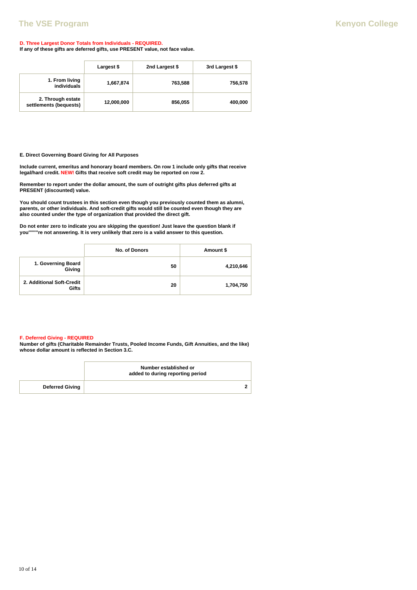### **D. Three Largest Donor Totals from Individuals - REQUIRED.**

**If any of these gifts are deferred gifts, use PRESENT value, not face value.**

|                                             | Largest \$ | 2nd Largest \$ | 3rd Largest \$ |
|---------------------------------------------|------------|----------------|----------------|
| 1. From living<br>individuals               | 1,667,874  | 763,588        | 756,578        |
| 2. Through estate<br>settlements (bequests) | 12,000,000 | 856,055        | 400,000        |

**E. Direct Governing Board Giving for All Purposes**

**Include current, emeritus and honorary board members. On row 1 include only gifts that receive legal/hard credit. NEW! Gifts that receive soft credit may be reported on row 2.**

**Remember to report under the dollar amount, the sum of outright gifts plus deferred gifts at PRESENT (discounted) value.**

**You should count trustees in this section even though you previously counted them as alumni, parents, or other individuals. And soft-credit gifts would still be counted even though they are also counted under the type of organization that provided the direct gift.**

**Do not enter zero to indicate you are skipping the question! Just leave the question blank if you''''''''re not answering. It is very unlikely that zero is a valid answer to this question.**

|                                    | No. of Donors | Amount \$ |
|------------------------------------|---------------|-----------|
| 1. Governing Board<br>Giving       | 50            | 4,210,646 |
| 2. Additional Soft-Credit<br>Gifts | 20            | 1,704,750 |

#### **F. Deferred Giving - REQUIRED**

**Number of gifts (Charitable Remainder Trusts, Pooled Income Funds, Gift Annuities, and the like) whose dollar amount is reflected in Section 3.C.**

|                        | Number established or<br>added to during reporting period |  |
|------------------------|-----------------------------------------------------------|--|
| <b>Deferred Giving</b> |                                                           |  |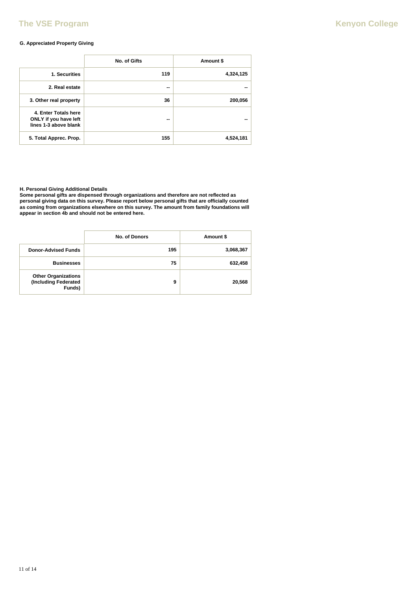# **The VSE Program Kenyon College**

### **G. Appreciated Property Giving**

|                                                                        | No. of Gifts | Amount \$ |
|------------------------------------------------------------------------|--------------|-----------|
| 1. Securities                                                          | 119          | 4,324,125 |
| 2. Real estate                                                         | --           | --        |
| 3. Other real property                                                 | 36           | 200,056   |
| 4. Enter Totals here<br>ONLY if you have left<br>lines 1-3 above blank | --           |           |
| 5. Total Apprec. Prop.                                                 | 155          | 4,524,181 |

**H. Personal Giving Additional Details**

**Some personal gifts are dispensed through organizations and therefore are not reflected as personal giving data on this survey. Please report below personal gifts that are officially counted as coming from organizations elsewhere on this survey. The amount from family foundations will appear in section 4b and should not be entered here.**

|                                                              | No. of Donors | Amount \$ |
|--------------------------------------------------------------|---------------|-----------|
| <b>Donor-Advised Funds</b>                                   | 195           | 3,068,367 |
| <b>Businesses</b>                                            | 75            | 632,458   |
| <b>Other Organizations</b><br>(Including Federated<br>Funds) | 9             | 20,568    |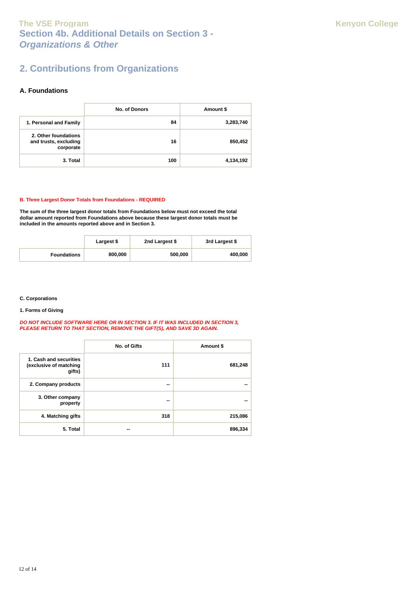# **Section 4b. Additional Details on Section 3 - Organizations & Other The VSE Program College College College Kenyon College**

# **2. Contributions from Organizations**

### **A. Foundations**

|                                                            | No. of Donors | Amount \$ |
|------------------------------------------------------------|---------------|-----------|
| 1. Personal and Family                                     | 84            | 3,283,740 |
| 2. Other foundations<br>and trusts, excluding<br>corporate | 16            | 850,452   |
| 3. Total                                                   | 100           | 4,134,192 |

### **B. Three Largest Donor Totals from Foundations - REQUIRED**

**The sum of the three largest donor totals from Foundations below must not exceed the total dollar amount reported from Foundations above because these largest donor totals must be included in the amounts reported above and in Section 3.**

|                    | Largest \$ | 2nd Largest \$ | 3rd Largest \$ |
|--------------------|------------|----------------|----------------|
| <b>Foundations</b> | 800,000    | 500,000        | 400,000        |

### **C. Corporations**

**1. Forms of Giving**

#### **DO NOT INCLUDE SOFTWARE HERE OR IN SECTION 3. IF IT WAS INCLUDED IN SECTION 3, PLEASE RETURN TO THAT SECTION, REMOVE THE GIFT(S), AND SAVE 3D AGAIN.**

|                                                            | No. of Gifts | Amount \$ |
|------------------------------------------------------------|--------------|-----------|
| 1. Cash and securities<br>(exclusive of matching<br>gifts) | 111          | 681,248   |
| 2. Company products                                        | --           | --        |
| 3. Other company<br>property                               | --           | --        |
| 4. Matching gifts                                          | 318          | 215,086   |
| 5. Total                                                   | --           | 896,334   |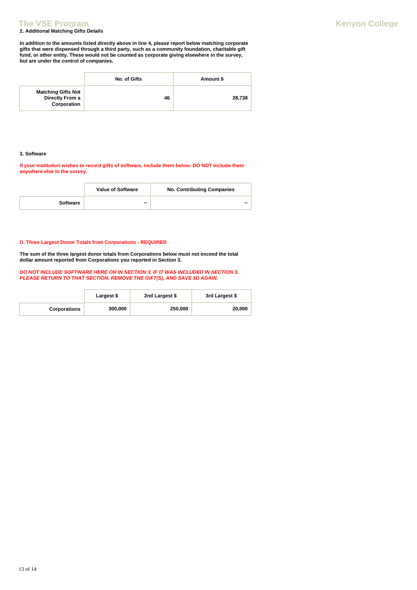### **2. Additional Matching Gifts Details The VSE Program Kenyon College**

**In addition to the amounts listed directly above in line 4, please report below matching corporate gifts that were dispensed through a third party, such as a community foundation, charitable gift fund, or other entity. These would not be counted as corporate giving elsewhere in the survey, but are under the control of companies.**

|                                                             | No. of Gifts | Amount \$ |
|-------------------------------------------------------------|--------------|-----------|
| <b>Matching Gifts Not</b><br>Directly From a<br>Corporation | 46           | 28,738    |

### **3. Software**

**If your institution wishes to record gifts of software, include them below. DO NOT include them anywhere else in the survey.**

|          | <b>Value of Software</b> | <b>No. Contributing Companies</b> |
|----------|--------------------------|-----------------------------------|
| Software | --                       | --                                |

### **D. Three Largest Donor Totals from Corporations - REQUIRED**

**The sum of the three largest donor totals from Corporations below must not exceed the total dollar amount reported from Corporations you reported in Section 3.**

**DO NOT INCLUDE SOFTWARE HERE OR IN SECTION 3. IF IT WAS INCLUDED IN SECTION 3, PLEASE RETURN TO THAT SECTION, REMOVE THE GIFT(S), AND SAVE 3D AGAIN.** 

|                     | Largest \$ | 2nd Largest \$ | 3rd Largest \$ |
|---------------------|------------|----------------|----------------|
| <b>Corporations</b> | 300,000    | 250,000        | 20,000         |